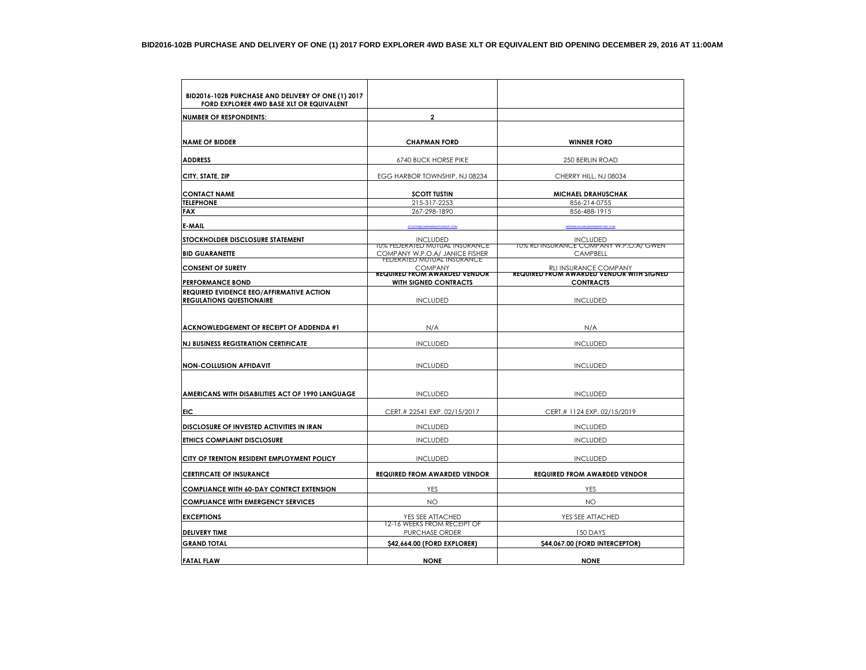| BID2016-102B PURCHASE AND DELIVERY OF ONE (1) 2017 |                                                                  |                                                                   |
|----------------------------------------------------|------------------------------------------------------------------|-------------------------------------------------------------------|
| FORD EXPLORER 4WD BASE XLT OR EQUIVALENT           |                                                                  |                                                                   |
| <b>NUMBER OF RESPONDENTS:</b>                      | $\overline{2}$                                                   |                                                                   |
|                                                    |                                                                  |                                                                   |
| <b>NAME OF BIDDER</b>                              | <b>CHAPMAN FORD</b>                                              | <b>WINNER FORD</b>                                                |
| <b>ADDRESS</b>                                     | <b>6740 BUCK HORSE PIKE</b>                                      | <b>250 BERLIN ROAD</b>                                            |
| CITY, STATE, ZIP                                   | EGG HARBOR TOWNSHIP, NJ 08234                                    | CHERRY HILL, NJ 08034                                             |
| <b>CONTACT NAME</b>                                | <b>SCOTT TUSTIN</b>                                              | <b>MICHAEL DRAHUSCHAK</b>                                         |
| <b>TELEPHONE</b>                                   | 215-317-2253                                                     | 856-214-0755                                                      |
| <b>FAX</b>                                         | 267-298-1890                                                     | 856-488-1915                                                      |
| E-MAIL                                             |                                                                  |                                                                   |
| STOCKHOLDER DISCLOSURE STATEMENT                   | <b>INCLUDED</b>                                                  | <b>INCLUDED</b>                                                   |
| <b>BID GUARANETTE</b>                              | 10% FEDERATED MUTUAL INSURANCE<br>COMPANY W.P.O.A/ JANICE FISHER | T0% REFINSURANCE COMPANY W.P.O.A/ GWEN<br><b>CAMPBELL</b>         |
|                                                    | FEDERATED MUTUAL INSURANCE                                       |                                                                   |
| <b>CONSENT OF SURETY</b>                           | <b>COMPANY</b><br><b>REQUIRED FROM AWARDED VENDOR</b>            | RLI INSURANCE COMPANY<br>REQUIRED FROM AWARDED VENDOR WITH SIGNED |
| <b>PERFORMANCE BOND</b>                            | <b>WITH SIGNED CONTRACTS</b>                                     | <b>CONTRACTS</b>                                                  |
| REQUIRED EVIDENCE EEO/AFFIRMATIVE ACTION           |                                                                  |                                                                   |
| <b>REGULATIONS QUESTIONAIRE</b>                    | <b>INCLUDED</b>                                                  | <b>INCLUDED</b>                                                   |
|                                                    |                                                                  |                                                                   |
| ACKNOWLEDGEMENT OF RECEIPT OF ADDENDA #1           | N/A                                                              | N/A                                                               |
| <b>NJ BUSINESS REGISTRATION CERTIFICATE</b>        | <b>INCLUDED</b>                                                  | <b>INCLUDED</b>                                                   |
|                                                    |                                                                  |                                                                   |
| <b>NON-COLLUSION AFFIDAVIT</b>                     | <b>INCLUDED</b>                                                  | <b>INCLUDED</b>                                                   |
|                                                    |                                                                  |                                                                   |
|                                                    |                                                                  |                                                                   |
| AMERICANS WITH DISABILITIES ACT OF 1990 LANGUAGE   | <b>INCLUDED</b>                                                  | <b>INCLUDED</b>                                                   |
| EIC                                                | CERT.# 22541 EXP. 02/15/2017                                     | CERT.# 1124 EXP. 02/15/2019                                       |
| DISCLOSURE OF INVESTED ACTIVITIES IN IRAN          | <b>INCLUDED</b>                                                  | <b>INCLUDED</b>                                                   |
| <b>ETHICS COMPLAINT DISCLOSURE</b>                 | <b>INCLUDED</b>                                                  | <b>INCLUDED</b>                                                   |
| CITY OF TRENTON RESIDENT EMPLOYMENT POLICY         | <b>INCLUDED</b>                                                  | <b>INCLUDED</b>                                                   |
|                                                    |                                                                  |                                                                   |
| <b>CERTIFICATE OF INSURANCE</b>                    | <b>REQUIRED FROM AWARDED VENDOR</b>                              | <b>REQUIRED FROM AWARDED VENDOR</b>                               |
| <b>COMPLIANCE WITH 60-DAY CONTRCT EXTENSION</b>    | YES                                                              | YES                                                               |
| <b>COMPLIANCE WITH EMERGENCY SERVICES</b>          | <b>NO</b>                                                        | NO                                                                |
| <b>EXCEPTIONS</b>                                  | YES SEE ATTACHED                                                 | YES SEE ATTACHED                                                  |
| <b>DELIVERY TIME</b>                               | 12-16 WEEKS FROM RECEIPT OF<br>PURCHASE ORDER                    | 150 DAYS                                                          |
| <b>GRAND TOTAL</b>                                 | \$42,664.00 (FORD EXPLORER)                                      | \$44,067.00 (FORD INTERCEPTOR)                                    |
|                                                    |                                                                  |                                                                   |
| <b>FATAL FLAW</b>                                  | <b>NONE</b>                                                      | <b>NONE</b>                                                       |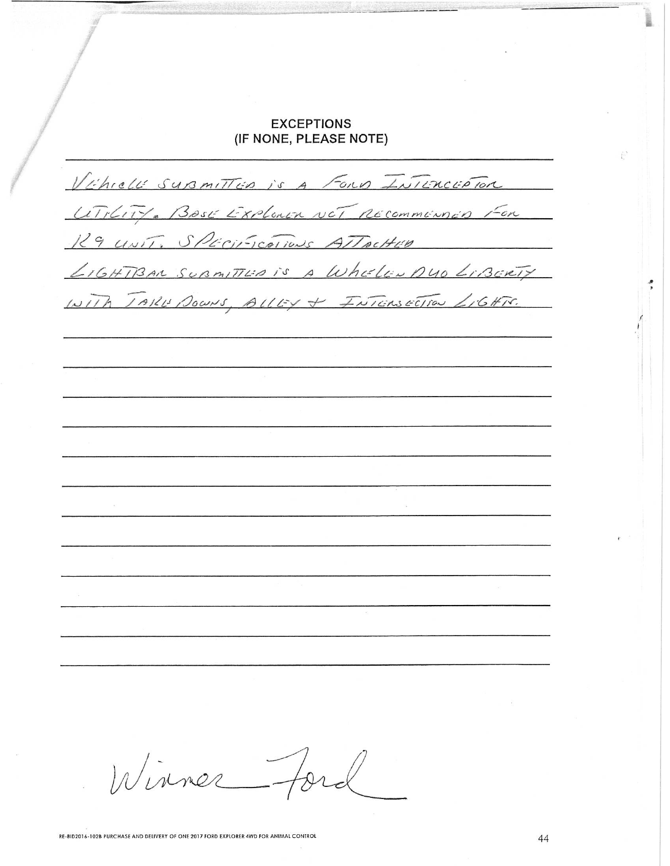## **EXCEPTIONS** (IF NONE, PLEASE NOTE)

Vihrell superittion is a Formo Intercipion UTILITY. BOSE EXPLORER NOT RECOMMENDED FOR 129 UNIT. SPECIFICATIONS ATTACHED LIGHTBAN SUBMITTED IS A Wheeler DUO LIBERTY WITH TARE DOWNS, ALLEY + FNICASECTION LIGHTS.

Winner Ford